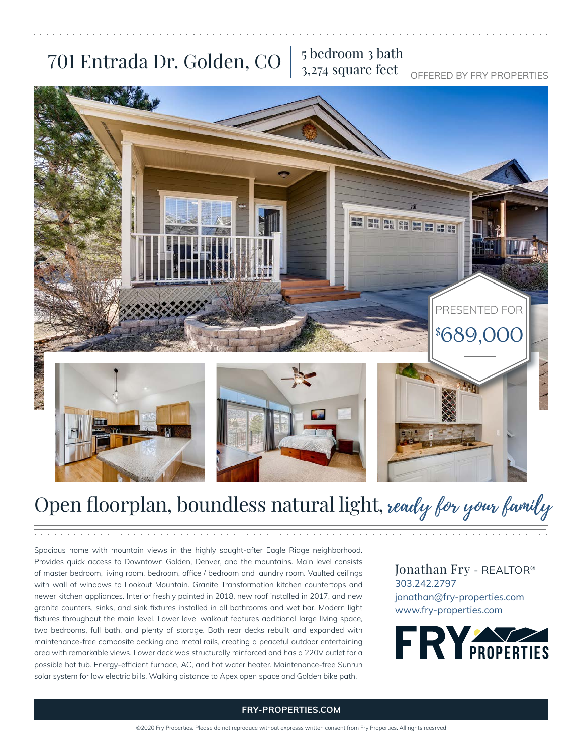## 701 Entrada Dr. Golden, CO  $\frac{5}{3}$  bedroom 3 bath

# 3,274 square feet

OFFERED BY FRY PROPERTIES



## Open floorplan, boundless natural light, ready for your family

Spacious home with mountain views in the highly sought-after Eagle Ridge neighborhood. Provides quick access to Downtown Golden, Denver, and the mountains. Main level consists of master bedroom, living room, bedroom, office / bedroom and laundry room. Vaulted ceilings with wall of windows to Lookout Mountain. Granite Transformation kitchen countertops and newer kitchen appliances. Interior freshly painted in 2018, new roof installed in 2017, and new granite counters, sinks, and sink fixtures installed in all bathrooms and wet bar. Modern light fixtures throughout the main level. Lower level walkout features additional large living space, two bedrooms, full bath, and plenty of storage. Both rear decks rebuilt and expanded with maintenance-free composite decking and metal rails, creating a peaceful outdoor entertaining area with remarkable views. Lower deck was structurally reinforced and has a 220V outlet for a possible hot tub. Energy-efficient furnace, AC, and hot water heater. Maintenance-free Sunrun solar system for low electric bills. Walking distance to Apex open space and Golden bike path.

Jonathan Fry - REALTOR® 303.242.2797 jonathan@fry-properties.com www.fry-properties.com



#### **FRY-PROPERTIES.COM**